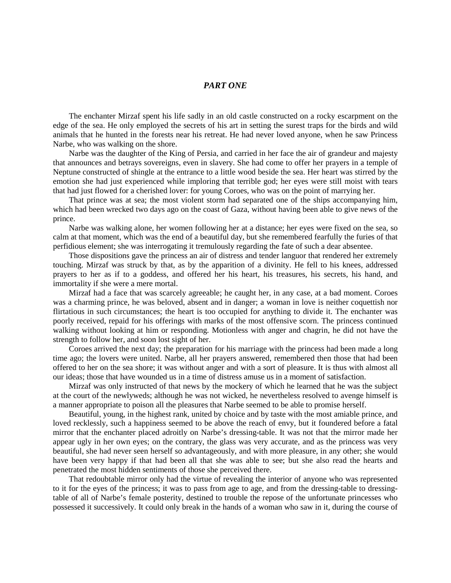## *PART ONE*

The enchanter Mirzaf spent his life sadly in an old castle constructed on a rocky escarpment on the edge of the sea. He only employed the secrets of his art in setting the surest traps for the birds and wild animals that he hunted in the forests near his retreat. He had never loved anyone, when he saw Princess Narbe, who was walking on the shore.

Narbe was the daughter of the King of Persia, and carried in her face the air of grandeur and majesty that announces and betrays sovereigns, even in slavery. She had come to offer her prayers in a temple of Neptune constructed of shingle at the entrance to a little wood beside the sea. Her heart was stirred by the emotion she had just experienced while imploring that terrible god; her eyes were still moist with tears that had just flowed for a cherished lover: for young Coroes, who was on the point of marrying her.

That prince was at sea; the most violent storm had separated one of the ships accompanying him, which had been wrecked two days ago on the coast of Gaza, without having been able to give news of the prince.

Narbe was walking alone, her women following her at a distance; her eyes were fixed on the sea, so calm at that moment, which was the end of a beautiful day, but she remembered fearfully the furies of that perfidious element; she was interrogating it tremulously regarding the fate of such a dear absentee.

Those dispositions gave the princess an air of distress and tender languor that rendered her extremely touching. Mirzaf was struck by that, as by the apparition of a divinity. He fell to his knees, addressed prayers to her as if to a goddess, and offered her his heart, his treasures, his secrets, his hand, and immortality if she were a mere mortal.

Mirzaf had a face that was scarcely agreeable; he caught her, in any case, at a bad moment. Coroes was a charming prince, he was beloved, absent and in danger; a woman in love is neither coquettish nor flirtatious in such circumstances; the heart is too occupied for anything to divide it. The enchanter was poorly received, repaid for his offerings with marks of the most offensive scorn. The princess continued walking without looking at him or responding. Motionless with anger and chagrin, he did not have the strength to follow her, and soon lost sight of her.

Coroes arrived the next day; the preparation for his marriage with the princess had been made a long time ago; the lovers were united. Narbe, all her prayers answered, remembered then those that had been offered to her on the sea shore; it was without anger and with a sort of pleasure. It is thus with almost all our ideas; those that have wounded us in a time of distress amuse us in a moment of satisfaction.

Mirzaf was only instructed of that news by the mockery of which he learned that he was the subject at the court of the newlyweds; although he was not wicked, he nevertheless resolved to avenge himself is a manner appropriate to poison all the pleasures that Narbe seemed to be able to promise herself.

Beautiful, young, in the highest rank, united by choice and by taste with the most amiable prince, and loved recklessly, such a happiness seemed to be above the reach of envy, but it foundered before a fatal mirror that the enchanter placed adroitly on Narbe's dressing-table. It was not that the mirror made her appear ugly in her own eyes; on the contrary, the glass was very accurate, and as the princess was very beautiful, she had never seen herself so advantageously, and with more pleasure, in any other; she would have been very happy if that had been all that she was able to see; but she also read the hearts and penetrated the most hidden sentiments of those she perceived there.

That redoubtable mirror only had the virtue of revealing the interior of anyone who was represented to it for the eyes of the princess; it was to pass from age to age, and from the dressing-table to dressingtable of all of Narbe's female posterity, destined to trouble the repose of the unfortunate princesses who possessed it successively. It could only break in the hands of a woman who saw in it, during the course of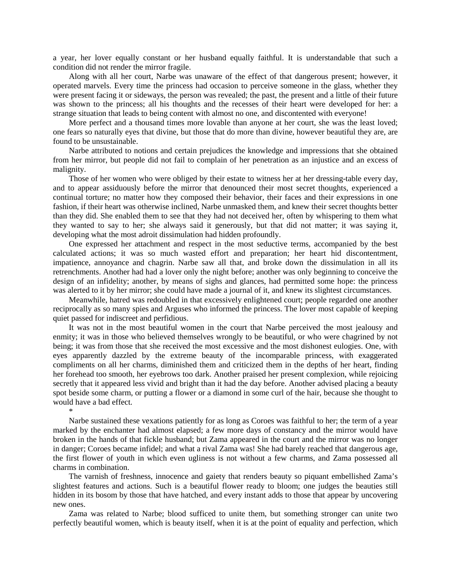a year, her lover equally constant or her husband equally faithful. It is understandable that such a condition did not render the mirror fragile.

Along with all her court, Narbe was unaware of the effect of that dangerous present; however, it operated marvels. Every time the princess had occasion to perceive someone in the glass, whether they were present facing it or sideways, the person was revealed; the past, the present and a little of their future was shown to the princess; all his thoughts and the recesses of their heart were developed for her: a strange situation that leads to being content with almost no one, and discontented with everyone!

More perfect and a thousand times more lovable than anyone at her court, she was the least loved; one fears so naturally eyes that divine, but those that do more than divine, however beautiful they are, are found to be unsustainable.

Narbe attributed to notions and certain prejudices the knowledge and impressions that she obtained from her mirror, but people did not fail to complain of her penetration as an injustice and an excess of malignity.

Those of her women who were obliged by their estate to witness her at her dressing-table every day, and to appear assiduously before the mirror that denounced their most secret thoughts, experienced a continual torture; no matter how they composed their behavior, their faces and their expressions in one fashion, if their heart was otherwise inclined, Narbe unmasked them, and knew their secret thoughts better than they did. She enabled them to see that they had not deceived her, often by whispering to them what they wanted to say to her; she always said it generously, but that did not matter; it was saying it, developing what the most adroit dissimulation had hidden profoundly.

One expressed her attachment and respect in the most seductive terms, accompanied by the best calculated actions; it was so much wasted effort and preparation; her heart hid discontentment, impatience, annoyance and chagrin. Narbe saw all that, and broke down the dissimulation in all its retrenchments. Another had had a lover only the night before; another was only beginning to conceive the design of an infidelity; another, by means of sighs and glances, had permitted some hope: the princess was alerted to it by her mirror; she could have made a journal of it, and knew its slightest circumstances.

Meanwhile, hatred was redoubled in that excessively enlightened court; people regarded one another reciprocally as so many spies and Arguses who informed the princess. The lover most capable of keeping quiet passed for indiscreet and perfidious.

It was not in the most beautiful women in the court that Narbe perceived the most jealousy and enmity; it was in those who believed themselves wrongly to be beautiful, or who were chagrined by not being; it was from those that she received the most excessive and the most dishonest eulogies. One, with eyes apparently dazzled by the extreme beauty of the incomparable princess, with exaggerated compliments on all her charms, diminished them and criticized them in the depths of her heart, finding her forehead too smooth, her eyebrows too dark. Another praised her present complexion, while rejoicing secretly that it appeared less vivid and bright than it had the day before. Another advised placing a beauty spot beside some charm, or putting a flower or a diamond in some curl of the hair, because she thought to would have a bad effect.

Narbe sustained these vexations patiently for as long as Coroes was faithful to her; the term of a year marked by the enchanter had almost elapsed; a few more days of constancy and the mirror would have broken in the hands of that fickle husband; but Zama appeared in the court and the mirror was no longer in danger; Coroes became infidel; and what a rival Zama was! She had barely reached that dangerous age, the first flower of youth in which even ugliness is not without a few charms, and Zama possessed all charms in combination.

\*

The varnish of freshness, innocence and gaiety that renders beauty so piquant embellished Zama's slightest features and actions. Such is a beautiful flower ready to bloom; one judges the beauties still hidden in its bosom by those that have hatched, and every instant adds to those that appear by uncovering new ones.

Zama was related to Narbe; blood sufficed to unite them, but something stronger can unite two perfectly beautiful women, which is beauty itself, when it is at the point of equality and perfection, which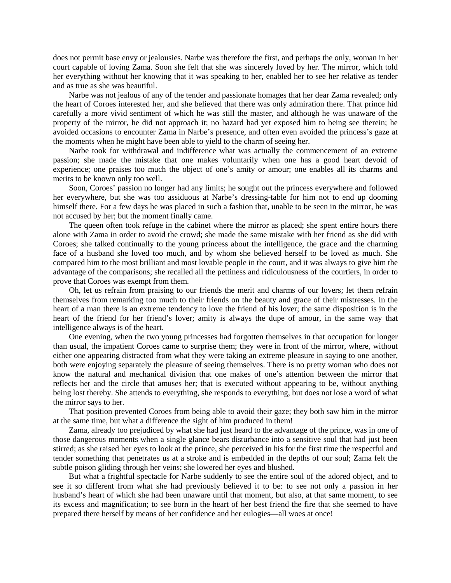does not permit base envy or jealousies. Narbe was therefore the first, and perhaps the only, woman in her court capable of loving Zama. Soon she felt that she was sincerely loved by her. The mirror, which told her everything without her knowing that it was speaking to her, enabled her to see her relative as tender and as true as she was beautiful.

Narbe was not jealous of any of the tender and passionate homages that her dear Zama revealed; only the heart of Coroes interested her, and she believed that there was only admiration there. That prince hid carefully a more vivid sentiment of which he was still the master, and although he was unaware of the property of the mirror, he did not approach it; no hazard had yet exposed him to being see therein; he avoided occasions to encounter Zama in Narbe's presence, and often even avoided the princess's gaze at the moments when he might have been able to yield to the charm of seeing her.

Narbe took for withdrawal and indifference what was actually the commencement of an extreme passion; she made the mistake that one makes voluntarily when one has a good heart devoid of experience; one praises too much the object of one's amity or amour; one enables all its charms and merits to be known only too well.

Soon, Coroes' passion no longer had any limits; he sought out the princess everywhere and followed her everywhere, but she was too assiduous at Narbe's dressing-table for him not to end up dooming himself there. For a few days he was placed in such a fashion that, unable to be seen in the mirror, he was not accused by her; but the moment finally came.

The queen often took refuge in the cabinet where the mirror as placed; she spent entire hours there alone with Zama in order to avoid the crowd; she made the same mistake with her friend as she did with Coroes; she talked continually to the young princess about the intelligence, the grace and the charming face of a husband she loved too much, and by whom she believed herself to be loved as much. She compared him to the most brilliant and most lovable people in the court, and it was always to give him the advantage of the comparisons; she recalled all the pettiness and ridiculousness of the courtiers, in order to prove that Coroes was exempt from them.

Oh, let us refrain from praising to our friends the merit and charms of our lovers; let them refrain themselves from remarking too much to their friends on the beauty and grace of their mistresses. In the heart of a man there is an extreme tendency to love the friend of his lover; the same disposition is in the heart of the friend for her friend's lover; amity is always the dupe of amour, in the same way that intelligence always is of the heart.

One evening, when the two young princesses had forgotten themselves in that occupation for longer than usual, the impatient Coroes came to surprise them; they were in front of the mirror, where, without either one appearing distracted from what they were taking an extreme pleasure in saying to one another, both were enjoying separately the pleasure of seeing themselves. There is no pretty woman who does not know the natural and mechanical division that one makes of one's attention between the mirror that reflects her and the circle that amuses her; that is executed without appearing to be, without anything being lost thereby. She attends to everything, she responds to everything, but does not lose a word of what the mirror says to her.

That position prevented Coroes from being able to avoid their gaze; they both saw him in the mirror at the same time, but what a difference the sight of him produced in them!

Zama, already too prejudiced by what she had just heard to the advantage of the prince, was in one of those dangerous moments when a single glance bears disturbance into a sensitive soul that had just been stirred; as she raised her eyes to look at the prince, she perceived in his for the first time the respectful and tender something that penetrates us at a stroke and is embedded in the depths of our soul; Zama felt the subtle poison gliding through her veins; she lowered her eyes and blushed.

But what a frightful spectacle for Narbe suddenly to see the entire soul of the adored object, and to see it so different from what she had previously believed it to be: to see not only a passion in her husband's heart of which she had been unaware until that moment, but also, at that same moment, to see its excess and magnification; to see born in the heart of her best friend the fire that she seemed to have prepared there herself by means of her confidence and her eulogies—all woes at once!